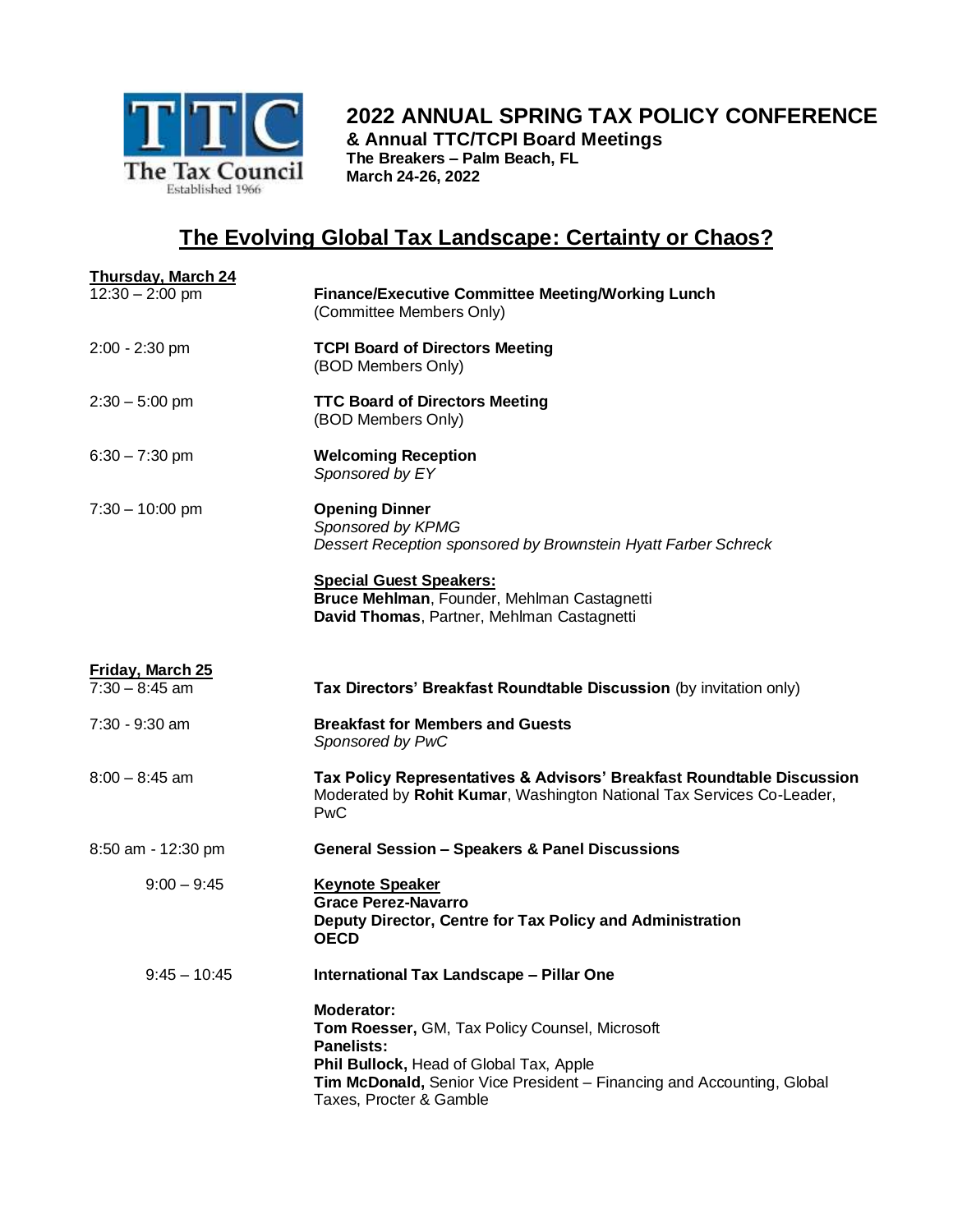

## **2022 ANNUAL SPRING TAX POLICY CONFERENCE**

**& Annual TTC/TCPI Board Meetings The Breakers – Palm Beach, FL March 24-26, 2022**

## **The Evolving Global Tax Landscape: Certainty or Chaos?**

| <b>Thursday, March 24</b>                   |                                                                                                                                                                                                                                   |
|---------------------------------------------|-----------------------------------------------------------------------------------------------------------------------------------------------------------------------------------------------------------------------------------|
| $12:30 - 2:00$ pm                           | <b>Finance/Executive Committee Meeting/Working Lunch</b><br>(Committee Members Only)                                                                                                                                              |
| $2:00 - 2:30$ pm                            | <b>TCPI Board of Directors Meeting</b><br>(BOD Members Only)                                                                                                                                                                      |
| $2:30 - 5:00$ pm                            | <b>TTC Board of Directors Meeting</b><br>(BOD Members Only)                                                                                                                                                                       |
| $6:30 - 7:30$ pm                            | <b>Welcoming Reception</b><br>Sponsored by EY                                                                                                                                                                                     |
| $7:30 - 10:00$ pm                           | <b>Opening Dinner</b><br>Sponsored by KPMG<br>Dessert Reception sponsored by Brownstein Hyatt Farber Schreck                                                                                                                      |
|                                             | <b>Special Guest Speakers:</b><br>Bruce Mehlman, Founder, Mehlman Castagnetti<br>David Thomas, Partner, Mehlman Castagnetti                                                                                                       |
|                                             |                                                                                                                                                                                                                                   |
| <b>Friday, March 25</b><br>$7:30 - 8:45$ am | Tax Directors' Breakfast Roundtable Discussion (by invitation only)                                                                                                                                                               |
| $7:30 - 9:30$ am                            | <b>Breakfast for Members and Guests</b><br>Sponsored by PwC                                                                                                                                                                       |
| $8:00 - 8:45$ am                            | Tax Policy Representatives & Advisors' Breakfast Roundtable Discussion<br>Moderated by Rohit Kumar, Washington National Tax Services Co-Leader,<br>PwC                                                                            |
| 8:50 am - 12:30 pm                          | <b>General Session - Speakers &amp; Panel Discussions</b>                                                                                                                                                                         |
| $9:00 - 9:45$                               | <b>Keynote Speaker</b><br><b>Grace Perez-Navarro</b><br>Deputy Director, Centre for Tax Policy and Administration<br><b>OECD</b>                                                                                                  |
| $9:45 - 10:45$                              | International Tax Landscape - Pillar One                                                                                                                                                                                          |
|                                             | Moderator:<br>Tom Roesser, GM, Tax Policy Counsel, Microsoft<br><b>Panelists:</b><br>Phil Bullock, Head of Global Tax, Apple<br>Tim McDonald, Senior Vice President - Financing and Accounting, Global<br>Taxes, Procter & Gamble |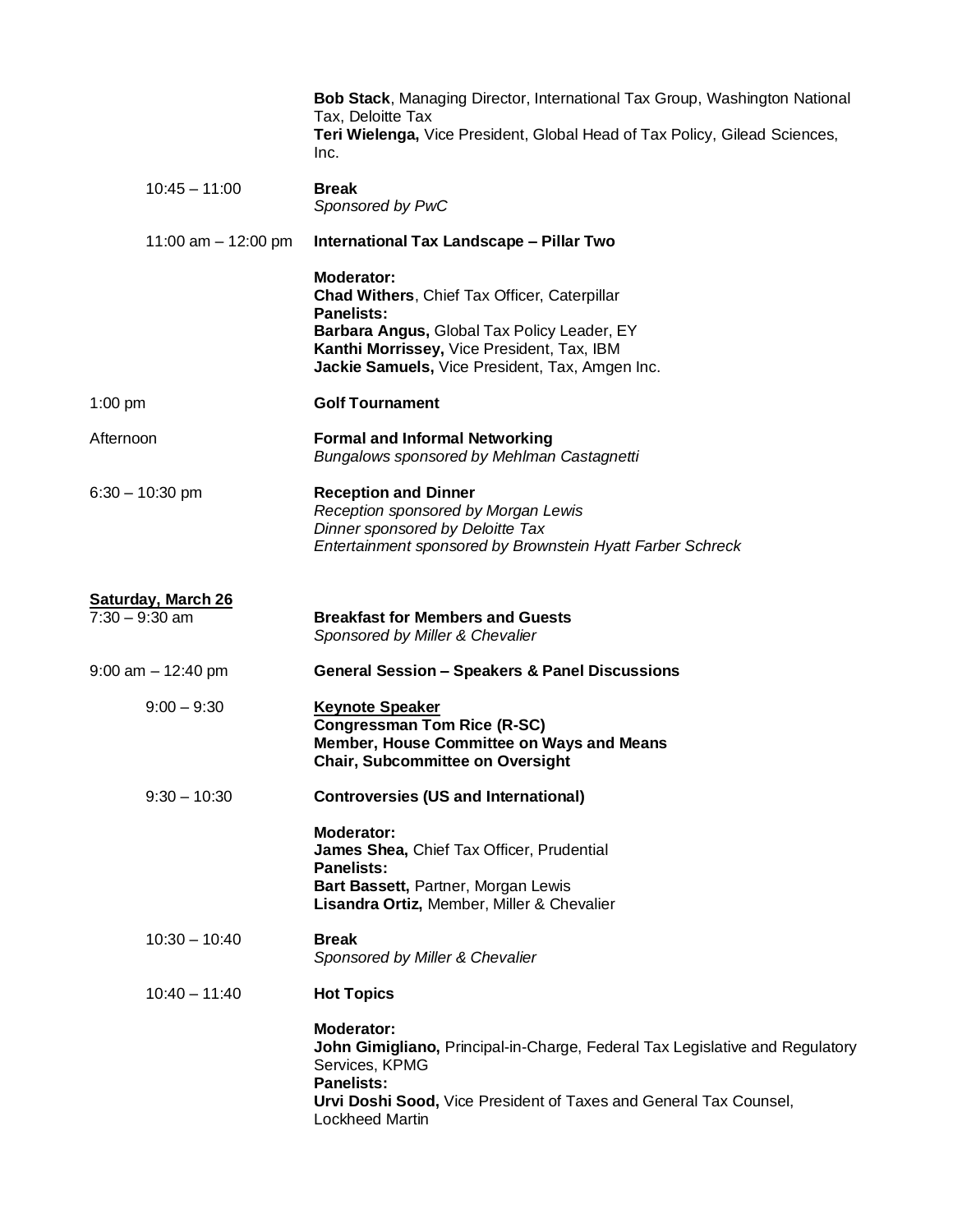|                                               | <b>Bob Stack, Managing Director, International Tax Group, Washington National</b><br>Tax, Deloitte Tax<br>Teri Wielenga, Vice President, Global Head of Tax Policy, Gilead Sciences,<br>Inc.                                           |
|-----------------------------------------------|----------------------------------------------------------------------------------------------------------------------------------------------------------------------------------------------------------------------------------------|
| $10:45 - 11:00$                               | <b>Break</b><br>Sponsored by PwC                                                                                                                                                                                                       |
| 11:00 am $-$ 12:00 pm                         | International Tax Landscape - Pillar Two                                                                                                                                                                                               |
|                                               | <b>Moderator:</b><br>Chad Withers, Chief Tax Officer, Caterpillar<br><b>Panelists:</b><br>Barbara Angus, Global Tax Policy Leader, EY<br>Kanthi Morrissey, Vice President, Tax, IBM<br>Jackie Samuels, Vice President, Tax, Amgen Inc. |
| $1:00$ pm                                     | <b>Golf Tournament</b>                                                                                                                                                                                                                 |
| Afternoon                                     | <b>Formal and Informal Networking</b><br>Bungalows sponsored by Mehlman Castagnetti                                                                                                                                                    |
| $6:30 - 10:30$ pm                             | <b>Reception and Dinner</b><br>Reception sponsored by Morgan Lewis<br>Dinner sponsored by Deloitte Tax<br>Entertainment sponsored by Brownstein Hyatt Farber Schreck                                                                   |
| <u>Saturday, March 26</u><br>$7:30 - 9:30$ am | <b>Breakfast for Members and Guests</b><br>Sponsored by Miller & Chevalier                                                                                                                                                             |
| 9:00 am - 12:40 pm                            | <b>General Session - Speakers &amp; Panel Discussions</b>                                                                                                                                                                              |
| $9:00 - 9:30$                                 | <b>Keynote Speaker</b><br><b>Congressman Tom Rice (R-SC)</b><br>Member, House Committee on Ways and Means<br><b>Chair, Subcommittee on Oversight</b>                                                                                   |
| $9:30 - 10:30$                                | <b>Controversies (US and International)</b>                                                                                                                                                                                            |
|                                               | <b>Moderator:</b><br>James Shea, Chief Tax Officer, Prudential<br><b>Panelists:</b><br>Bart Bassett, Partner, Morgan Lewis<br>Lisandra Ortiz, Member, Miller & Chevalier                                                               |
| $10:30 - 10:40$                               | <b>Break</b><br>Sponsored by Miller & Chevalier                                                                                                                                                                                        |
| $10:40 - 11:40$                               | <b>Hot Topics</b>                                                                                                                                                                                                                      |
|                                               | <b>Moderator:</b><br>John Gimigliano, Principal-in-Charge, Federal Tax Legislative and Regulatory<br>Services, KPMG<br><b>Panelists:</b><br>Urvi Doshi Sood, Vice President of Taxes and General Tax Counsel,<br>Lockheed Martin       |